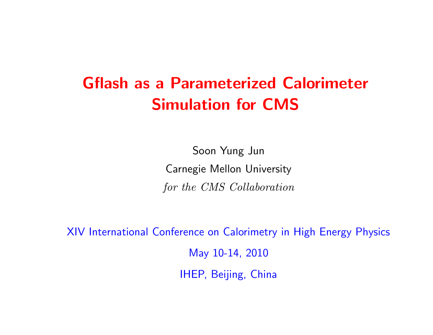# Gflash as <sup>a</sup> Parameterized Calorimeter Simulation for CMS

Soon Yung Jun Carnegie Mellon University for the CMS Collaboration

XIV International Conference on Calorimetry in High Energy Physics May 10-14, 2010 IHEP, Beijing, China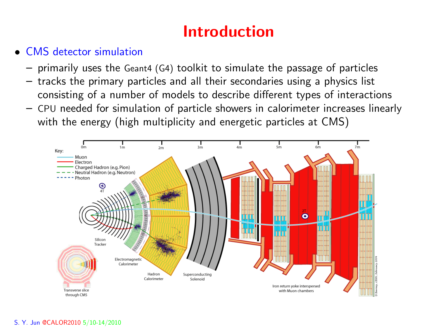# Introduction

## • CMS detector simulation

- –primarily uses the Geant4 (G4) toolkit to simulate the passage of particles
- tracks the primary particles and all their secondaries using <sup>a</sup> physics list consisting of <sup>a</sup> number of models to describe different types of interactions
- CPU needed for simulation of particle showers in calorimeter increases linearly with the energy (high multiplicity and energetic particles at CMS)

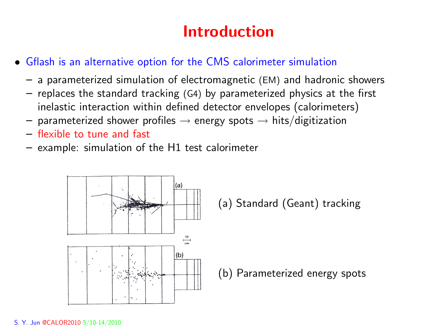# Introduction

- Gflash is an alternative option for the CMS calorimeter simulation
	- <sup>a</sup> parameterized simulation of electromagnetic (EM) and hadronic showers
	- replaces the standard tracking (G4) by parameterized physics at the first inelastic interaction within defined detector envelopes (calorimeters)
	- – $-$  parameterized shower profiles  $\rightarrow$  energy spots  $\rightarrow$  hits/digitization
	- flexible to tune and fast
	- example: simulation of the H1 test calorimeter



(a) Standard (Geant) tracking

(b) Parameterized energy spots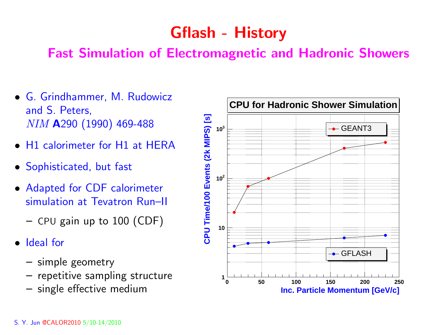# Gflash - History

## Fast Simulation of Electromagnetic and Hadronic Showers

- G. Grindhammer, M. Rudowicz and S. Peters, NIM <sup>A</sup><sup>290</sup> (1990) 469-488
- H1 calorimeter for H1 at HERA
- Sophisticated, but fast
- Adapted for CDF calorimeter simulation at Tevatron Run–II
	- – $-$  CPU gain up to  $100\ (\mathrm{CDF})$
- Ideal for
	- simple geometry
	- repetitive sampling structure
	-

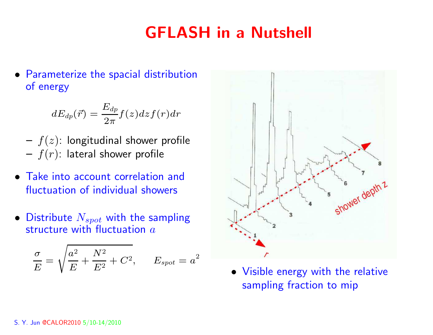# GFLASH in <sup>a</sup> Nutshell

• Parameterize the spacial distribution of energy

$$
dE_{dp}(\vec{r}) = \frac{E_{dp}}{2\pi}f(z)dz f(r)dr
$$

- – $\overline{\phantom{x}}-f(z)$ : longitudinal shower profile – $\overline{\phantom{a}}-f(r)$ : lateral shower profile
- Take into account correlation and fluctuation of individual showers
- $\bullet\,$  Distribute  $N_{spot}$  with the sampling structure with fluctuation  $a$

$$
\frac{\sigma}{E} = \sqrt{\frac{a^2}{E} + \frac{N^2}{E^2} + C^2}, \qquad E_{spot} = a^2
$$



 Visible energy with the relative sampling fraction to mip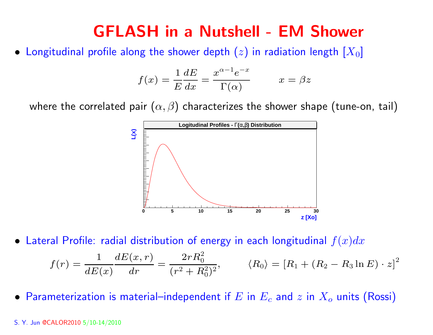## GFLASH in <sup>a</sup> Nutshell - EM Shower

 $\bullet\,$  Longitudinal profile along the shower depth  $(z)$  in radiation length  $[X_0]$ 

$$
f(x) = \frac{1}{E} \frac{dE}{dx} = \frac{x^{\alpha - 1} e^{-x}}{\Gamma(\alpha)} \qquad x = \beta z
$$

where the correlated pair  $(\alpha, \beta)$  characterizes the shower shape (tune-on, tail)



 $\bullet\,$  Lateral Profile: radial distribution of energy in each longitudinal  $f(x)dx$ 

$$
f(r) = \frac{1}{dE(x)} \frac{dE(x, r)}{dr} = \frac{2rR_0^2}{(r^2 + R_0^2)^2}, \qquad \langle R_0 \rangle = [R_1 + (R_2 - R_3 \ln E) \cdot z]^2
$$

 $\bullet$  Parameterization is material–independent if  $E$  in  $E_c$  and  $z$  in  $X_o$  units (Rossi)

#### S. Y. Jun @CALOR2010 5/10-14/2010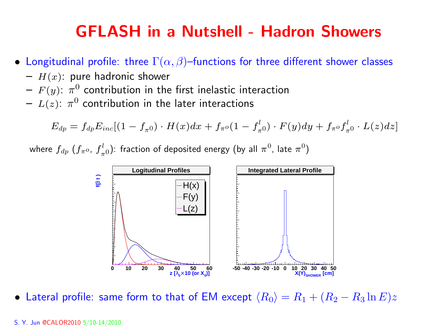## GFLASH in <sup>a</sup> Nutshell - Hadron Showers

- $\bullet\,$  Longitudinal profile: three  $\Gamma(\alpha,\beta)$ –functions for three different shower classes
	- $H(x)$ : pure hadronic shower
	- – $F(y)$ :  $\pi^0$  contribution in the first inelastic interaction
	- – $\, -\, L(z) {\rm :}\; \pi^0$  contribution in the later interactions

$$
E_{dp}=f_{dp}E_{inc}[(1-f_{\pi^0})\cdot H(x)dx+f_{\pi^o}(1-f_{\pi^0}^l)\cdot F(y)dy+f_{\pi^o}f_{\pi^0}^l\cdot L(z)dz]
$$

where  $f_{dp}$   $(f_{\pi^o}, f_{\pi^0}^l)$ : fraction of deposited energy (by all  $\pi^0$ , late  $\pi^0$ )



 $\bullet~$  Lateral profile: same form to that of EM except  $\langle R_0 \rangle = R_1 + (R_2 - R_3 \ln E)z$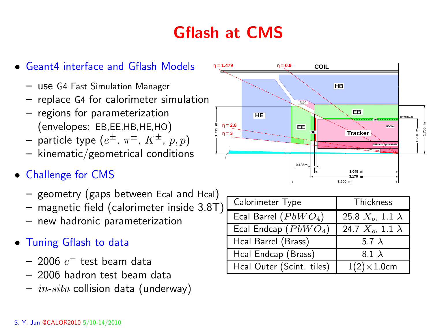# Gflash at CMS



- use G4 Fast Simulation Manager
- replace G4 for calorimeter simulation
- regions for parameterization (envelopes: EB,EE,HB,HE,HO)
- – $-$  particle type  $(e^{\pm},\ \pi^{\pm},\ K^{\pm},\ p,\bar{p})$
- – $-$  kinematic/geometrical conditions
- Challenge for CMS
	- – $-$  geometry (gaps between Ecal and Hcal)
	- – $-$  magnetic field (calorimeter inside 3.8T)
	- new hadronic parameterization
- Tuning Gflash to data
	- $-$  2006  $e^-$  test beam data
	- 2006 hadron test beam data
	- – $\,-\,$   $in\text{-}situ$  collision data (underway)



| Calorimeter Type          | Thickness                  |
|---------------------------|----------------------------|
| Ecal Barrel $(PbWO4)$     | 25.8 $X_o$ , 1.1 $\lambda$ |
| Ecal Endcap $(PbWO4)$     | 24.7 $X_o$ , 1.1 $\lambda$ |
| Hcal Barrel (Brass)       | 5.7 $\lambda$              |
| Hcal Endcap (Brass)       | 8.1 $\lambda$              |
| Hcal Outer (Scint. tiles) | $1(2)\times1.0$ cm         |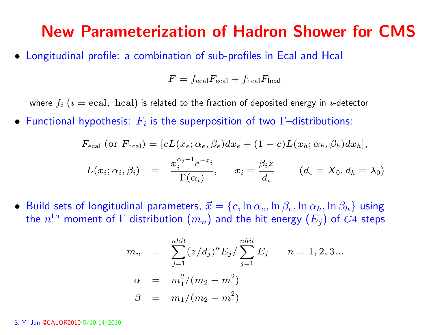## New Parameterization of Hadron Shower for CMS

• Longitudinal profile: <sup>a</sup> combination of sub-profiles in Ecal and Hcal

 $F = f_{\text{ecal}}F_{\text{ecal}} + f_{\text{hcal}}F_{\text{hcal}}$ 

where  $f_i$  ( $i = \text{ecal}$ , hcal) is related to the fraction of deposited energy in *i*-detector

 $\bullet\,$  Functional hypothesis:  $\,F_i$  is the superposition of two  $\Gamma$ –distributions:

$$
F_{\text{ecal}} \text{ (or } F_{\text{hcal}}) = [cL(x_e; \alpha_e, \beta_e) dx_e + (1 - c)L(x_h; \alpha_h, \beta_h) dx_h],
$$
  

$$
L(x_i; \alpha_i, \beta_i) = \frac{x_i^{\alpha_i - 1} e^{-x_i}}{\Gamma(\alpha_i)}, \quad x_i = \frac{\beta_i z}{d_i} \qquad (d_e = X_0, d_h = \lambda_0)
$$

 $\bullet~$  Build sets of longitudinal parameters,  $\vec{x} = \{c, \ln\alpha_e, \ln\beta_e, \ln\alpha_h, \ln\beta_h\}$  using the  $n^{\text{th}}$  moment of  $\Gamma$  distribution  $(m_n)$  and the hit energy  $(E_j)$  of  $G4$  steps

$$
m_n = \sum_{j=1}^{nhit} (z/d_j)^n E_j / \sum_{j=1}^{nhit} E_j \qquad n = 1, 2, 3...
$$
  
\n
$$
\alpha = m_1^2 / (m_2 - m_1^2)
$$
  
\n
$$
\beta = m_1 / (m_2 - m_1^2)
$$

#### S. Y. Jun @CALOR2010 5/10-14/2010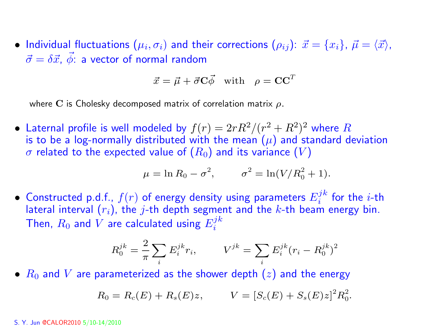$\bullet$  Individual fluctuations  $(\mu_i,\sigma_i)$  and their corrections  $(\rho_{ij})$ :  $\vec{x}=\{x_i\}$ ,  $\vec{\mu}=\langle\vec{x}\rangle$ , ~ $\vec{\sigma} = \delta \vec{x}, \ \vec{\phi}$  $\phi$ : a vector of normal random

$$
\vec{x} = \vec{\mu} + \vec{\sigma} \mathbf{C} \vec{\phi} \quad \text{with} \quad \rho = \mathbf{C} \mathbf{C}^T
$$

where C is Cholesky decomposed matrix of correlation matrix  $\rho$ .

 $\bullet$  Laternal profile is well modeled by  $f(r) = 2rR^2/(r^2 + R^2)^2$  where  $R$ is to be a log-normally distributed with the mean  $(\mu)$  and standard deviation  $\sigma$  related to the expected value of  $(R_0)$  and its variance  $(V)$ 

$$
\mu = \ln R_0 - \sigma^2
$$
,  $\sigma^2 = \ln(V/R_0^2 + 1)$ .

 $\bullet\,$  Constructed p.d.f.,  $f(r)$  of energy density using parameters  $E_i^{jk}$  for the  $i\text{-th}$ lateral interval  $(r_i)$ , the j-th depth segment and the k-th beam energy bin. Then,  $R_0$  and V are calculated using  $E_i^{jk}$ 

$$
R_0^{jk} = \frac{2}{\pi} \sum_i E_i^{jk} r_i, \qquad V^{jk} = \sum_i E_i^{jk} (r_i - R_0^{jk})^2
$$

 $\bullet$   $R_0$  and  $V$  are parameterized as the shower depth  $(z)$  and the energy

$$
R_0 = R_c(E) + R_s(E)z, \qquad V = [S_c(E) + S_s(E)z]^2 R_0^2.
$$

#### S. Y. Jun @CALOR2010 5/10-14/2010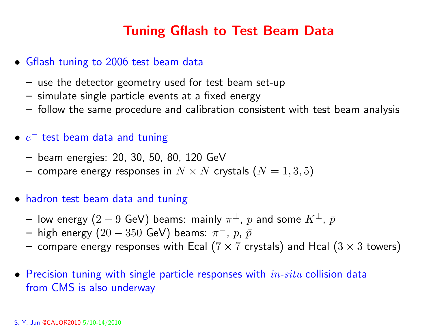## Tuning Gflash to Test Beam Data

- Gflash tuning to 2006 test beam data
	- use the detector geometry used for test beam set-up
	- simulate single particle events at <sup>a</sup> fixed energy
	- follow the same procedure and calibration consistent with test beam analysis
- $\bullet \hspace{1mm} e^-$  test beam data and tuning
	- –beam energies: 20, 30, 50, 80, 120 GeV
	- – $-$  compare energy responses in  $N\times N$  crystals  $(N=1,3,5)$
- hadron test beam data and tuning
	- – $-$  low energy  $(2-9$  GeV) beams: mainly  $\pi^{\pm},~p$  and some  $K^{\pm},~\bar{p}$
	- – $-$  high energy  $(20-350$  GeV) beams:  $\pi^{-}$ ,  $p$ ,  $\bar{p}$
	- – $-$  compare energy responses with Ecal ( $7\times7$  crystals) and Hcal ( $3\times3$  towers)
- $\bullet\,$  Precision tuning with single particle responses with  $\,in\,-situ$  collision data from CMS is also underway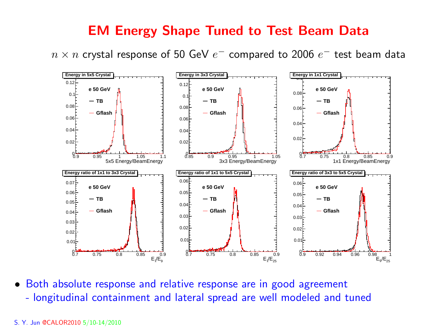## EM Energy Shape Tuned to Test Beam Data

 $n \times n$  crystal response of 50 GeV  $e^-$  compared to 2006  $e^-$  test beam data



• Both absolute response and relative response are in good agreement longitudinal containment and lateral spread are well modeled and tuned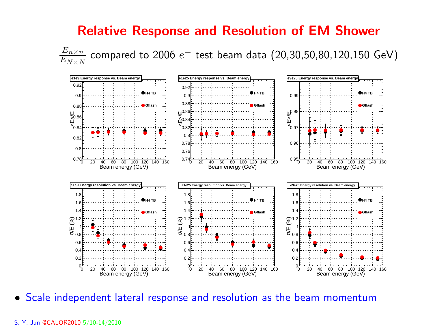### Relative Response and Resolution of EM Shower

 $\frac{E_{n \times n}}{E_{N \times N}}$  compared to 2006  $e^-$  test beam data (20,30,50,80,120,150 GeV)



• Scale independent lateral response and resolution as the beam momentum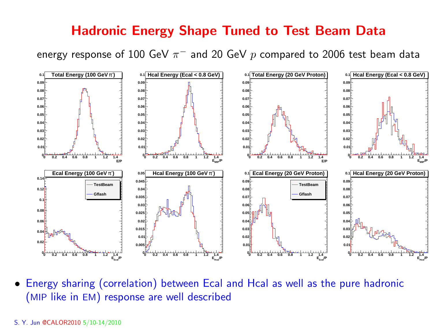## Hadronic Energy Shape Tuned to Test Beam Data

energy response of 100 GeV  $\pi^-$  and 20 GeV p compared to 2006 test beam data



• Energy sharing (correlation) between Ecal and Hcal as well as the pure hadronic (MIP like in EM) response are well described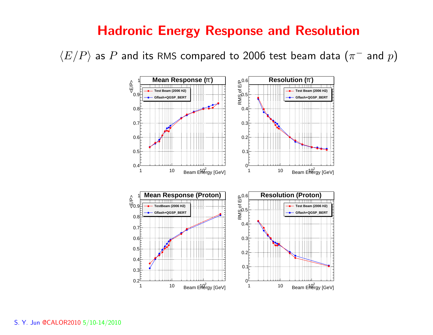## Hadronic Energy Response and Resolution

 $\langle E/P \rangle$  as  $P$  and its RMS compared to 2006 test beam data ( $\pi^-$  and  $p$ )

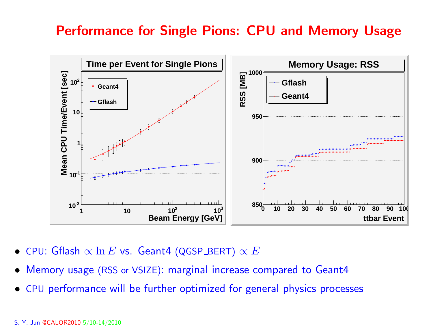## Performance for Single Pions: CPU and Memory Usage



- •<code>CPU: Gflash</code>  $\propto \ln E$  vs. <code>Geant4</code> (QGSP\_BERT)  $\propto E$
- •Memory usage (RSS or VSIZE): marginal increase compared to Geant4
- •CPU performance will be further optimized for general physics processes